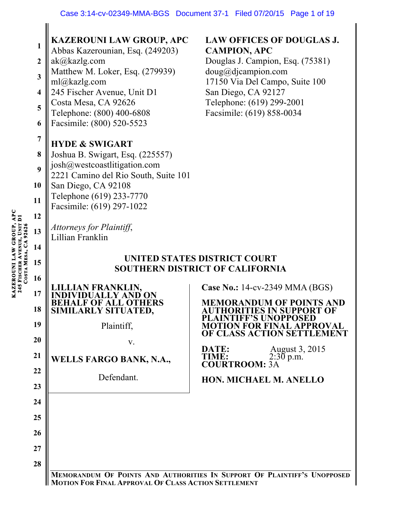| COSTA MESA, CA 9262 | 1<br>$\boldsymbol{2}$<br>$\overline{\mathbf{3}}$<br>$\overline{\mathbf{4}}$<br>5<br>6<br>$\overline{7}$<br>8<br>9<br>10<br>11<br>12<br>13<br>14 | <b>KAZEROUNI LAW GROUP, APC</b><br>Abbas Kazerounian, Esq. (249203)<br>ak@kazlg.com<br>Matthew M. Loker, Esq. (279939)<br>ml@kazlg.com<br>245 Fischer Avenue, Unit D1<br>Costa Mesa, CA 92626<br>Telephone: (800) 400-6808<br>Facsimile: (800) 520-5523<br><b>HYDE &amp; SWIGART</b><br>Joshua B. Swigart, Esq. (225557)<br>josh@westcoastlitigation.com<br>2221 Camino del Rio South, Suite 101<br>San Diego, CA 92108<br>Telephone (619) 233-7770<br>Facsimile: (619) 297-1022<br>Attorneys for Plaintiff,<br>Lillian Franklin | <b>LAW OFFICES OF DOUGLAS J.</b><br><b>CAMPION, APC</b><br>Douglas J. Campion, Esq. (75381)<br>$doug@di$ campion.com<br>17150 Via Del Campo, Suite 100<br>San Diego, CA 92127<br>Telephone: (619) 299-2001<br>Facsimile: (619) 858-0034 |  |  |  |
|---------------------|-------------------------------------------------------------------------------------------------------------------------------------------------|----------------------------------------------------------------------------------------------------------------------------------------------------------------------------------------------------------------------------------------------------------------------------------------------------------------------------------------------------------------------------------------------------------------------------------------------------------------------------------------------------------------------------------|-----------------------------------------------------------------------------------------------------------------------------------------------------------------------------------------------------------------------------------------|--|--|--|
|                     | 15                                                                                                                                              | UNITED STATES DISTRICT COURT                                                                                                                                                                                                                                                                                                                                                                                                                                                                                                     |                                                                                                                                                                                                                                         |  |  |  |
|                     | 16                                                                                                                                              |                                                                                                                                                                                                                                                                                                                                                                                                                                                                                                                                  | <b>SOUTHERN DISTRICT OF CALIFORNIA</b>                                                                                                                                                                                                  |  |  |  |
|                     | 17                                                                                                                                              |                                                                                                                                                                                                                                                                                                                                                                                                                                                                                                                                  | Case No.: 14-cv-2349 MMA (BGS)<br><b>MEMORANDUM OF POINTS AND</b>                                                                                                                                                                       |  |  |  |
|                     | 18                                                                                                                                              | F OF ALL OTHERS<br>SIMILARLY SITUATED,                                                                                                                                                                                                                                                                                                                                                                                                                                                                                           | AUTHORITIES IN SUPPORT OF<br>NTIFF'S UNOPPOSED                                                                                                                                                                                          |  |  |  |
|                     | 19                                                                                                                                              | Plaintiff,                                                                                                                                                                                                                                                                                                                                                                                                                                                                                                                       | <b>MOTION FOR FINAL APPROVAL</b><br>OF CLASS ACTION SETTLEMENT                                                                                                                                                                          |  |  |  |
|                     | 20                                                                                                                                              | V.                                                                                                                                                                                                                                                                                                                                                                                                                                                                                                                               | August 3, 2015<br>DATE:                                                                                                                                                                                                                 |  |  |  |
|                     | 21                                                                                                                                              | <b>WELLS FARGO BANK, N.A.,</b>                                                                                                                                                                                                                                                                                                                                                                                                                                                                                                   | TIME: 2:3<br>COURTROOM: 3A<br>$2:30$ p.m.                                                                                                                                                                                               |  |  |  |
|                     | 22                                                                                                                                              | Defendant.                                                                                                                                                                                                                                                                                                                                                                                                                                                                                                                       | HON. MICHAEL M. ANELLO                                                                                                                                                                                                                  |  |  |  |
|                     | 23                                                                                                                                              |                                                                                                                                                                                                                                                                                                                                                                                                                                                                                                                                  |                                                                                                                                                                                                                                         |  |  |  |
|                     |                                                                                                                                                 |                                                                                                                                                                                                                                                                                                                                                                                                                                                                                                                                  |                                                                                                                                                                                                                                         |  |  |  |
|                     | 24                                                                                                                                              |                                                                                                                                                                                                                                                                                                                                                                                                                                                                                                                                  |                                                                                                                                                                                                                                         |  |  |  |
|                     | 25                                                                                                                                              |                                                                                                                                                                                                                                                                                                                                                                                                                                                                                                                                  |                                                                                                                                                                                                                                         |  |  |  |
|                     | 26                                                                                                                                              |                                                                                                                                                                                                                                                                                                                                                                                                                                                                                                                                  |                                                                                                                                                                                                                                         |  |  |  |
|                     | 27<br>28                                                                                                                                        |                                                                                                                                                                                                                                                                                                                                                                                                                                                                                                                                  |                                                                                                                                                                                                                                         |  |  |  |

**KAZEROUNI LAW GROUP, APC 245 FISCHER AVENUE, UNIT D1 KAZEROUNI LAW GROUP, APC<br>245 FISCHER AVENUE, UNIT D1 MESA, CA 92626**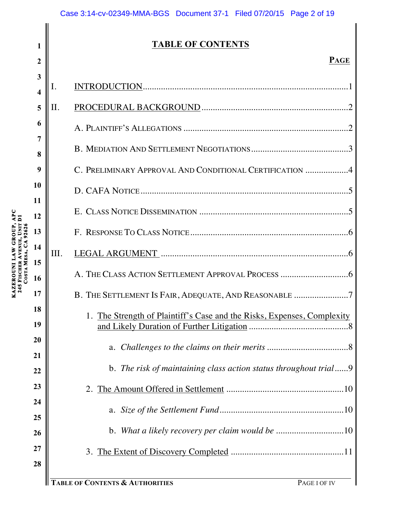## **TABLE OF CONTENTS**

| 3<br>$\overline{\mathbf{4}}$ | I.  |                                                                         |
|------------------------------|-----|-------------------------------------------------------------------------|
| 5                            | II. |                                                                         |
| 6                            |     |                                                                         |
| 7<br>8                       |     |                                                                         |
| 9                            |     | C. PRELIMINARY APPROVAL AND CONDITIONAL CERTIFICATION 4                 |
| 10                           |     |                                                                         |
| 11<br>12                     |     |                                                                         |
| 13                           |     |                                                                         |
| 14                           | Ш.  |                                                                         |
| 15<br>16                     |     |                                                                         |
| 17                           |     | B. THE SETTLEMENT IS FAIR, ADEQUATE, AND REASONABLE 7                   |
| 18                           |     | 1. The Strength of Plaintiff's Case and the Risks, Expenses, Complexity |
| 19                           |     |                                                                         |
| 20<br>21                     |     |                                                                         |
| 22                           |     | b. The risk of maintaining class action status throughout trial9        |
| 23                           |     | 2.                                                                      |
| 24<br>25                     |     |                                                                         |
| 26                           |     |                                                                         |
| 27                           |     |                                                                         |
| 28                           |     |                                                                         |
|                              |     | <b>ABLE OF CONTENTS &amp; AUTHORITIES</b><br>PAGE I OF IV               |

**1**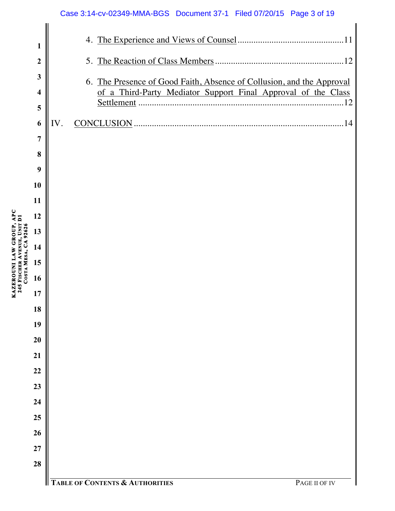| 1                       |                                                                       |
|-------------------------|-----------------------------------------------------------------------|
| $\boldsymbol{2}$        |                                                                       |
| $\mathbf{3}$            | 6. The Presence of Good Faith, Absence of Collusion, and the Approval |
| $\overline{\mathbf{4}}$ | of a Third-Party Mediator Support Final Approval of the Class         |
| 5                       |                                                                       |
| 6                       | 14<br>IV.                                                             |
| $\overline{7}$          |                                                                       |
| 8                       |                                                                       |
| 9                       |                                                                       |
| 10                      |                                                                       |
| 11                      |                                                                       |
| 12                      |                                                                       |
| 13<br>14                |                                                                       |
| 15                      |                                                                       |
| 16                      |                                                                       |
| 17                      |                                                                       |
| 18                      |                                                                       |
| 19                      |                                                                       |
| 20                      |                                                                       |
| 21                      |                                                                       |
| 22                      |                                                                       |
| 23                      |                                                                       |
| 24                      |                                                                       |
| 25                      |                                                                       |
| 26                      |                                                                       |
| 27                      |                                                                       |
| 28                      |                                                                       |
|                         | <b>TABLE OF CONTENTS &amp; AUTHORITIES</b><br>PAGE II OF IV           |

**KAZEROUNI LAW GROUP, APC** 

**245 FISCHER** 

**AVENUE, UNIT D1** 

KAZEROUNI LAW GROUP, APC<br>245 FISCHER AVENUE, UNIT D1<br>COSTA MESA, CA 92626 **MESA, CA 92626**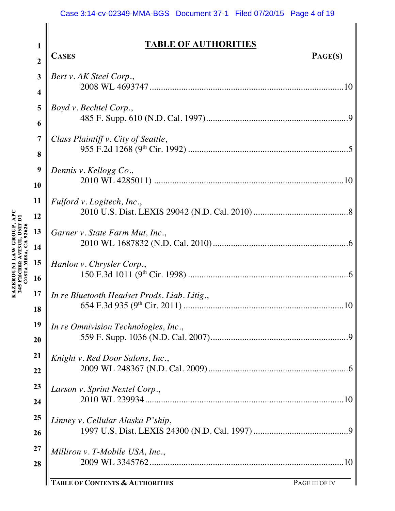#### Case 3:14-cv-02349-MMA-BGS Document 37-1 Filed 07/20/15 Page 4 of 19

**TABLE OF AUTHORITIES**

| $\overline{2}$          | <b>CASES</b>                                 | PAGE(S) |
|-------------------------|----------------------------------------------|---------|
| $\mathbf{3}$            | Bert v. AK Steel Corp.,                      |         |
| $\overline{\mathbf{4}}$ |                                              |         |
| 5                       | Boyd v. Bechtel Corp.,                       |         |
| 6                       |                                              |         |
| $\overline{7}$          | Class Plaintiff v. City of Seattle,          |         |
| 8                       |                                              |         |
| 9                       |                                              |         |
|                         | Dennis v. Kellogg Co.,                       |         |
| 10                      |                                              |         |
| 11                      | Fulford v. Logitech, Inc.,                   |         |
| 12                      |                                              |         |
| 13                      | Garner v. State Farm Mut, Inc.,              |         |
| 14                      |                                              |         |
| 15                      | Hanlon v. Chrysler Corp.,                    |         |
| 16                      |                                              |         |
| 17                      | In re Bluetooth Headset Prods. Liab. Litig., |         |
| 18                      |                                              |         |
| 19                      | In re Omnivision Technologies, Inc.,         |         |
| 20                      |                                              |         |
| 21                      | Knight v. Red Door Salons, Inc.,             |         |
| 22                      |                                              |         |
| 23                      |                                              |         |
|                         | Larson v. Sprint Nextel Corp.,               |         |
| 24                      |                                              |         |
| 25                      | Linney v. Cellular Alaska P'ship,            |         |
| 26                      |                                              |         |
| 27                      | Milliron v. T-Mobile USA, Inc.,              |         |
| 28                      |                                              |         |
|                         |                                              |         |

**1**

**TABLE OF CONTENTS & AUTHORITIES** PAGE III OF IV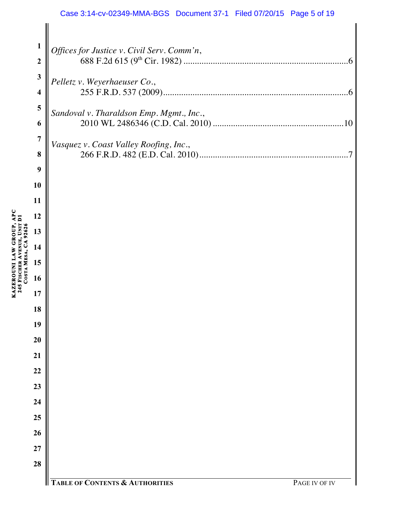#### Case 3:14-cv-02349-MMA-BGS Document 37-1 Filed 07/20/15 Page 5 of 19

| $\mathbf{1}$            | Offices for Justice v. Civil Serv. Comm'n,                  |
|-------------------------|-------------------------------------------------------------|
| $\boldsymbol{2}$        |                                                             |
| $\mathbf{3}$            | Pelletz v. Weyerhaeuser Co.,                                |
| 4                       |                                                             |
| $\overline{\mathbf{5}}$ | Sandoval v. Tharaldson Emp. Mgmt., Inc.,                    |
| 6                       |                                                             |
| $\overline{7}$          | Vasquez v. Coast Valley Roofing, Inc.,                      |
| 8                       |                                                             |
| 9                       |                                                             |
| 10                      |                                                             |
| 11<br>12                |                                                             |
| 13                      |                                                             |
| 14                      |                                                             |
| 15                      |                                                             |
| 16                      |                                                             |
| 17                      |                                                             |
| 18                      |                                                             |
| 19                      |                                                             |
| 20                      |                                                             |
| 21                      |                                                             |
| 22                      |                                                             |
| 23                      |                                                             |
| 24                      |                                                             |
| 25                      |                                                             |
| 26                      |                                                             |
| 27                      |                                                             |
| 28                      |                                                             |
|                         | <b>TABLE OF CONTENTS &amp; AUTHORITIES</b><br>PAGE IV OF IV |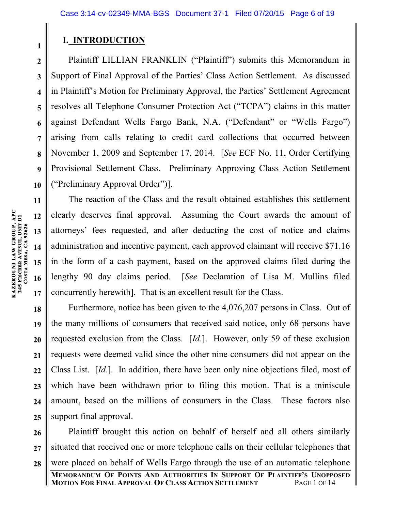## **I. INTRODUCTION**

Plaintiff LILLIAN FRANKLIN ("Plaintiff") submits this Memorandum in Support of Final Approval of the Parties' Class Action Settlement. As discussed in Plaintiff's Motion for Preliminary Approval, the Parties' Settlement Agreement resolves all Telephone Consumer Protection Act ("TCPA") claims in this matter against Defendant Wells Fargo Bank, N.A. ("Defendant" or "Wells Fargo") arising from calls relating to credit card collections that occurred between November 1, 2009 and September 17, 2014. [*See* ECF No. 11, Order Certifying Provisional Settlement Class. Preliminary Approving Class Action Settlement ("Preliminary Approval Order")].

The reaction of the Class and the result obtained establishes this settlement clearly deserves final approval. Assuming the Court awards the amount of attorneys' fees requested, and after deducting the cost of notice and claims administration and incentive payment, each approved claimant will receive \$71.16 in the form of a cash payment, based on the approved claims filed during the lengthy 90 day claims period. [*See* Declaration of Lisa M. Mullins filed concurrently herewith]. That is an excellent result for the Class.

**18 19 20 21 22 23 24 25** Furthermore, notice has been given to the 4,076,207 persons in Class. Out of the many millions of consumers that received said notice, only 68 persons have requested exclusion from the Class. [*Id*.]. However, only 59 of these exclusion requests were deemed valid since the other nine consumers did not appear on the Class List. [*Id*.]. In addition, there have been only nine objections filed, most of which have been withdrawn prior to filing this motion. That is a miniscule amount, based on the millions of consumers in the Class. These factors also support final approval.

**26 27 28** Plaintiff brought this action on behalf of herself and all others similarly situated that received one or more telephone calls on their cellular telephones that were placed on behalf of Wells Fargo through the use of an automatic telephone

**1**

**2**

**3**

**4**

**5**

**6**

**7**

**8**

**9**

**10**

**11**

**12**

**13**

**14**

**15**

**16**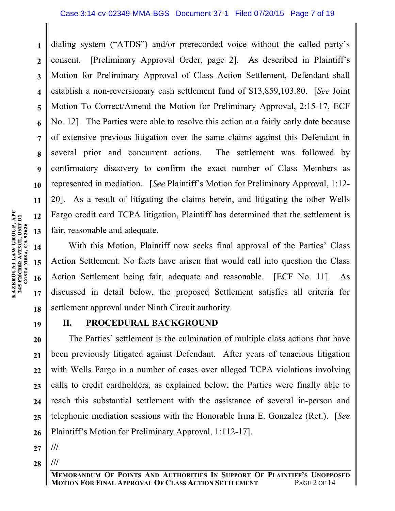**3 4 5 6 7 8 9 10** dialing system ("ATDS") and/or prerecorded voice without the called party's consent. [Preliminary Approval Order, page 2]. As described in Plaintiff's Motion for Preliminary Approval of Class Action Settlement, Defendant shall establish a non-reversionary cash settlement fund of \$13,859,103.80. [*See* Joint Motion To Correct/Amend the Motion for Preliminary Approval, 2:15-17, ECF No. 12]. The Parties were able to resolve this action at a fairly early date because of extensive previous litigation over the same claims against this Defendant in several prior and concurrent actions. The settlement was followed by confirmatory discovery to confirm the exact number of Class Members as represented in mediation. [*See* Plaintiff's Motion for Preliminary Approval, 1:12- 20]. As a result of litigating the claims herein, and litigating the other Wells Fargo credit card TCPA litigation, Plaintiff has determined that the settlement is fair, reasonable and adequate.

With this Motion, Plaintiff now seeks final approval of the Parties' Class Action Settlement. No facts have arisen that would call into question the Class Action Settlement being fair, adequate and reasonable. [ECF No. 11]. As discussed in detail below, the proposed Settlement satisfies all criteria for settlement approval under Ninth Circuit authority.

**19**

## **II. PROCEDURAL BACKGROUND**

**20 21 22 23 24 25 26** The Parties' settlement is the culmination of multiple class actions that have been previously litigated against Defendant.After years of tenacious litigation with Wells Fargo in a number of cases over alleged TCPA violations involving calls to credit cardholders, as explained below, the Parties were finally able to reach this substantial settlement with the assistance of several in-person and telephonic mediation sessions with the Honorable Irma E. Gonzalez (Ret.). [*See*  Plaintiff's Motion for Preliminary Approval, 1:112-17].

**27**

**28 ///**

**///**

**11**

**12**

**13**

**14**

**15**

**16**

**17**

**18**

**1**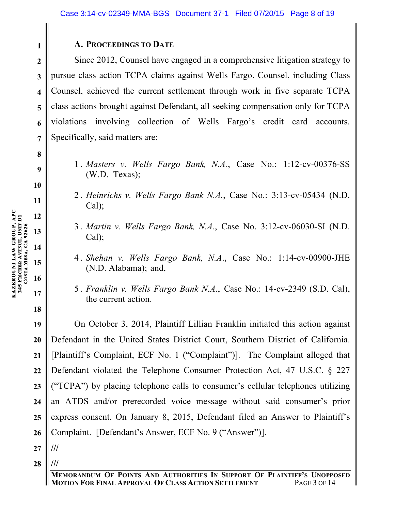### **A. PROCEEDINGS TO DATE**

Since 2012, Counsel have engaged in a comprehensive litigation strategy to pursue class action TCPA claims against Wells Fargo. Counsel, including Class Counsel, achieved the current settlement through work in five separate TCPA class actions brought against Defendant, all seeking compensation only for TCPA violations involving collection of Wells Fargo's credit card accounts. Specifically, said matters are:

- 1 . *Masters v. Wells Fargo Bank, N.A.*, Case No.: 1:12-cv-00376-SS (W.D. Texas);
- 2 . *Heinrichs v. Wells Fargo Bank N.A.*, Case No.: 3:13-cv-05434 (N.D. Cal);
- 3 . *Martin v. Wells Fargo Bank, N.A.*, Case No. 3:12-cv-06030-SI (N.D. Cal);
- 4 . *Shehan v. Wells Fargo Bank, N.A*., Case No.: 1:14-cv-00900-JHE (N.D. Alabama); and,
- 5 . *Franklin v. Wells Fargo Bank N.A*., Case No.: 14-cv-2349 (S.D. Cal), the current action.

**19 20 21 22 23 24 25 26** On October 3, 2014, Plaintiff Lillian Franklin initiated this action against Defendant in the United States District Court, Southern District of California. [Plaintiff's Complaint, ECF No. 1 ("Complaint")]. The Complaint alleged that Defendant violated the Telephone Consumer Protection Act, 47 U.S.C. § 227 ("TCPA") by placing telephone calls to consumer's cellular telephones utilizing an ATDS and/or prerecorded voice message without said consumer's prior express consent. On January 8, 2015, Defendant filed an Answer to Plaintiff's Complaint. [Defendant's Answer, ECF No. 9 ("Answer")]. **///**

- **27**
- **28 ///**

**1**

**2**

**3**

**4**

**5**

**6**

**7**

**8**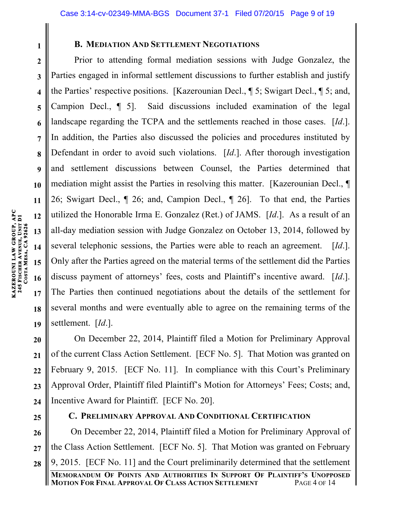**1 2**

**3**

**4**

**5**

**6**

**7**

**8**

**9**

**10**

**11**

**12**

**13**

**14**

**15**

**16**

**17**

**18**

**19**

### **B. MEDIATION AND SETTLEMENT NEGOTIATIONS**

Prior to attending formal mediation sessions with Judge Gonzalez, the Parties engaged in informal settlement discussions to further establish and justify the Parties' respective positions. [Kazerounian Decl., ¶ 5; Swigart Decl., ¶ 5; and, Campion Decl., ¶ 5]. Said discussions included examination of the legal landscape regarding the TCPA and the settlements reached in those cases. [*Id*.]. In addition, the Parties also discussed the policies and procedures instituted by Defendant in order to avoid such violations. [*Id*.]. After thorough investigation and settlement discussions between Counsel, the Parties determined that mediation might assist the Parties in resolving this matter. [Kazerounian Decl., ¶ 26; Swigart Decl., ¶ 26; and, Campion Decl., ¶ 26]. To that end, the Parties utilized the Honorable Irma E. Gonzalez (Ret.) of JAMS. [*Id*.]. As a result of an all-day mediation session with Judge Gonzalez on October 13, 2014, followed by several telephonic sessions, the Parties were able to reach an agreement. [*Id*.]. Only after the Parties agreed on the material terms of the settlement did the Parties discuss payment of attorneys' fees, costs and Plaintiff's incentive award. [*Id*.]. The Parties then continued negotiations about the details of the settlement for several months and were eventually able to agree on the remaining terms of the settlement. [*Id*.].

**20 21 22 23 24** On December 22, 2014, Plaintiff filed a Motion for Preliminary Approval of the current Class Action Settlement. [ECF No. 5]. That Motion was granted on February 9, 2015. [ECF No. 11]. In compliance with this Court's Preliminary Approval Order, Plaintiff filed Plaintiff's Motion for Attorneys' Fees; Costs; and, Incentive Award for Plaintiff. [ECF No. 20].

**25**

### **C. PRELIMINARY APPROVAL AND CONDITIONAL CERTIFICATION**

**26 27 28** On December 22, 2014, Plaintiff filed a Motion for Preliminary Approval of the Class Action Settlement. [ECF No. 5]. That Motion was granted on February 9, 2015. [ECF No. 11] and the Court preliminarily determined that the settlement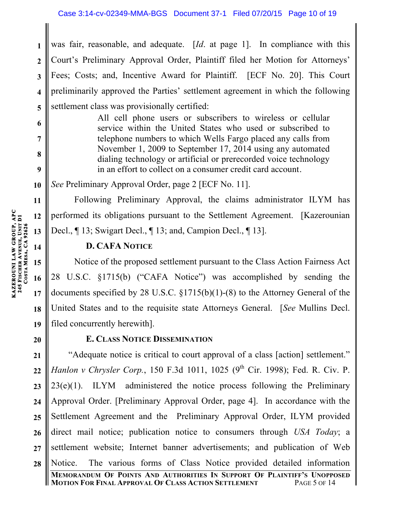was fair, reasonable, and adequate. [*Id*. at page 1]. In compliance with this Court's Preliminary Approval Order, Plaintiff filed her Motion for Attorneys' Fees; Costs; and, Incentive Award for Plaintiff. [ECF No. 20]. This Court preliminarily approved the Parties' settlement agreement in which the following settlement class was provisionally certified:

> All cell phone users or subscribers to wireless or cellular service within the United States who used or subscribed to telephone numbers to which Wells Fargo placed any calls from November 1, 2009 to September 17, 2014 using any automated dialing technology or artificial or prerecorded voice technology in an effort to collect on a consumer credit card account.

*See* Preliminary Approval Order, page 2 [ECF No. 11].

Following Preliminary Approval, the claims administrator ILYM has performed its obligations pursuant to the Settlement Agreement. [Kazerounian Decl., ¶ 13; Swigart Decl., ¶ 13; and, Campion Decl., ¶ 13].

### **D. CAFA NOTICE**

Notice of the proposed settlement pursuant to the Class Action Fairness Act 28 U.S.C. §1715(b) ("CAFA Notice") was accomplished by sending the documents specified by 28 U.S.C. §1715(b)(1)-(8) to the Attorney General of the United States and to the requisite state Attorneys General. [*See* Mullins Decl. filed concurrently herewith].

**20**

## **E. CLASS NOTICE DISSEMINATION**

**21 22 23 24 25 26 27 28** "Adequate notice is critical to court approval of a class [action] settlement." *Hanlon v Chrysler Corp.*, 150 F.3d 1011, 1025 (9<sup>th</sup> Cir. 1998); Fed. R. Civ. P. 23(e)(1). ILYM administered the notice process following the Preliminary Approval Order. [Preliminary Approval Order, page 4]. In accordance with the Settlement Agreement and the Preliminary Approval Order, ILYM provided direct mail notice; publication notice to consumers through *USA Today*; a settlement website; Internet banner advertisements; and publication of Web Notice. The various forms of Class Notice provided detailed information

**1**

**2**

**3**

**4**

**5**

**6**

**7**

**8**

**9**

**10**

**11**

**12**

**13**

**14**

**15**

**16**

**17**

**18**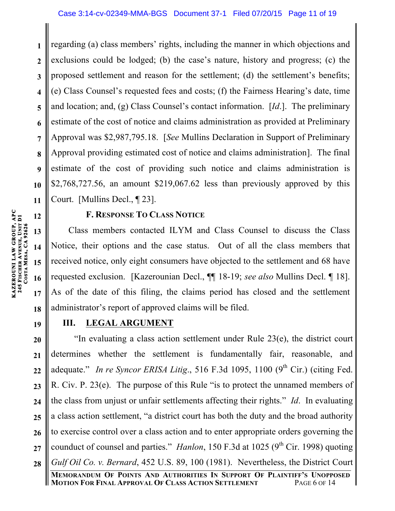**1 2 3 4 5 6 7 8 9 10 11** regarding (a) class members' rights, including the manner in which objections and exclusions could be lodged; (b) the case's nature, history and progress; (c) the proposed settlement and reason for the settlement; (d) the settlement's benefits; (e) Class Counsel's requested fees and costs; (f) the Fairness Hearing's date, time and location; and, (g) Class Counsel's contact information. [*Id*.]. The preliminary estimate of the cost of notice and claims administration as provided at Preliminary Approval was \$2,987,795.18. [*See* Mullins Declaration in Support of Preliminary Approval providing estimated cost of notice and claims administration]. The final estimate of the cost of providing such notice and claims administration is \$2,768,727.56, an amount \$219,067.62 less than previously approved by this Court. [Mullins Decl., ¶ 23].

**12**

**13**

**14**

**15**

**16**

**17**

**18**

**19**

### **F. RESPONSE TO CLASS NOTICE**

Class members contacted ILYM and Class Counsel to discuss the Class Notice, their options and the case status. Out of all the class members that received notice, only eight consumers have objected to the settlement and 68 have requested exclusion. [Kazerounian Decl., ¶¶ 18-19; *see also* Mullins Decl. ¶ 18]. As of the date of this filing, the claims period has closed and the settlement administrator's report of approved claims will be filed.

### **III. LEGAL ARGUMENT**

**20 21 22 23 24 25 26 27 28** "In evaluating a class action settlement under Rule 23(e), the district court determines whether the settlement is fundamentally fair, reasonable, and adequate." *In re Syncor ERISA Litig.*, 516 F.3d 1095, 1100 (9<sup>th</sup> Cir.) (citing Fed. R. Civ. P. 23(e). The purpose of this Rule "is to protect the unnamed members of the class from unjust or unfair settlements affecting their rights." *Id*. In evaluating a class action settlement, "a district court has both the duty and the broad authority to exercise control over a class action and to enter appropriate orders governing the counduct of counsel and parties." *Hanlon*, 150 F.3d at 1025 ( $9<sup>th</sup>$  Cir. 1998) quoting *Gulf Oil Co. v. Bernard*, 452 U.S. 89, 100 (1981). Nevertheless, the District Court

**MEMORANDUM OF POINTS AND AUTHORITIES IN SUPPORT OF PLAINTIFF'S UNOPPOSED MOTION FOR FINAL APPROVAL OF CLASS ACTION SETTLEMENT**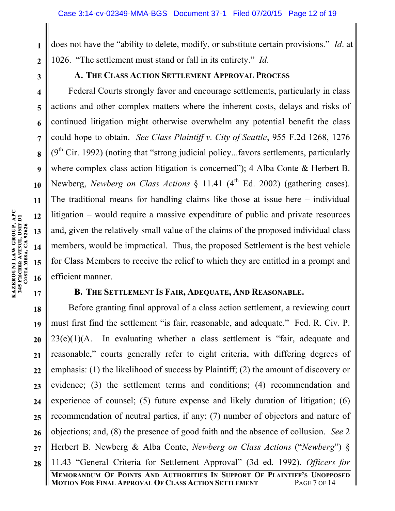does not have the "ability to delete, modify, or substitute certain provisions." *Id*. at 1026. "The settlement must stand or fall in its entirety." *Id*.

**1**

**2**

**3**

**4**

**5**

**6**

**7**

**8**

**9**

**10**

**11**

**12**

**13**

**14**

**15**

**16**

**17**

### **A. THE CLASS ACTION SETTLEMENT APPROVAL PROCESS**

Federal Courts strongly favor and encourage settlements, particularly in class actions and other complex matters where the inherent costs, delays and risks of continued litigation might otherwise overwhelm any potential benefit the class could hope to obtain. *See Class Plaintiff v. City of Seattle*, 955 F.2d 1268, 1276  $(9<sup>th</sup> Cir. 1992)$  (noting that "strong judicial policy...favors settlements, particularly where complex class action litigation is concerned"); 4 Alba Conte & Herbert B. Newberg, *Newberg on Class Actions* § 11.41 (4<sup>th</sup> Ed. 2002) (gathering cases). The traditional means for handling claims like those at issue here – individual litigation – would require a massive expenditure of public and private resources and, given the relatively small value of the claims of the proposed individual class members, would be impractical. Thus, the proposed Settlement is the best vehicle for Class Members to receive the relief to which they are entitled in a prompt and efficient manner.

### **B. THE SETTLEMENT IS FAIR, ADEQUATE, AND REASONABLE.**

**18 19 20 21 22 23 24 25 26 27 28** Before granting final approval of a class action settlement, a reviewing court must first find the settlement "is fair, reasonable, and adequate." Fed. R. Civ. P.  $23(e)(1)(A)$ . In evaluating whether a class settlement is "fair, adequate and reasonable," courts generally refer to eight criteria, with differing degrees of emphasis: (1) the likelihood of success by Plaintiff; (2) the amount of discovery or evidence; (3) the settlement terms and conditions; (4) recommendation and experience of counsel; (5) future expense and likely duration of litigation; (6) recommendation of neutral parties, if any; (7) number of objectors and nature of objections; and, (8) the presence of good faith and the absence of collusion. *See* 2 Herbert B. Newberg & Alba Conte, *Newberg on Class Actions* ("*Newberg*") § 11.43 "General Criteria for Settlement Approval" (3d ed. 1992). *Officers for*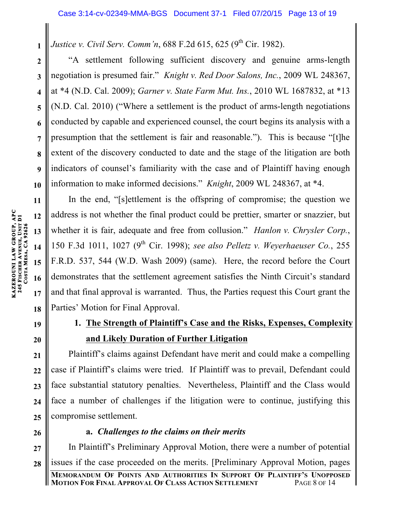*Justice v. Civil Serv. Comm'n,* 688 F.2d 615, 625 (9<sup>th</sup> Cir. 1982).

**3 4 5 6 7 8 9** "A settlement following sufficient discovery and genuine arms-length negotiation is presumed fair." *Knight v. Red Door Salons, Inc.*, 2009 WL 248367, at \*4 (N.D. Cal. 2009); *Garner v. State Farm Mut. Ins.*, 2010 WL 1687832, at \*13 (N.D. Cal. 2010) ("Where a settlement is the product of arms-length negotiations conducted by capable and experienced counsel, the court begins its analysis with a presumption that the settlement is fair and reasonable."). This is because "[t]he extent of the discovery conducted to date and the stage of the litigation are both indicators of counsel's familiarity with the case and of Plaintiff having enough information to make informed decisions." *Knight*, 2009 WL 248367, at \*4.

In the end, "[s]ettlement is the offspring of compromise; the question we address is not whether the final product could be prettier, smarter or snazzier, but whether it is fair, adequate and free from collusion." *Hanlon v. Chrysler Corp.*, 150 F.3d 1011, 1027 (9th Cir. 1998); *see also Pelletz v. Weyerhaeuser Co.*, 255 F.R.D. 537, 544 (W.D. Wash 2009) (same). Here, the record before the Court demonstrates that the settlement agreement satisfies the Ninth Circuit's standard and that final approval is warranted. Thus, the Parties request this Court grant the Parties' Motion for Final Approval.

# **19**

# **1. The Strength of Plaintiff's Case and the Risks, Expenses, Complexity and Likely Duration of Further Litigation**

Plaintiff's claims against Defendant have merit and could make a compelling case if Plaintiff's claims were tried. If Plaintiff was to prevail, Defendant could face substantial statutory penalties. Nevertheless, Plaintiff and the Class would face a number of challenges if the litigation were to continue, justifying this compromise settlement.

# **26**

## **a.** *Challenges to the claims on their merits*

**27 28** In Plaintiff's Preliminary Approval Motion, there were a number of potential issues if the case proceeded on the merits. [Preliminary Approval Motion, pages

**1**

**2**

**10**

**11**

**12**

**13**

**14**

**15**

**16**

**17**

**18**

**20**

**21**

**22**

**23**

**24**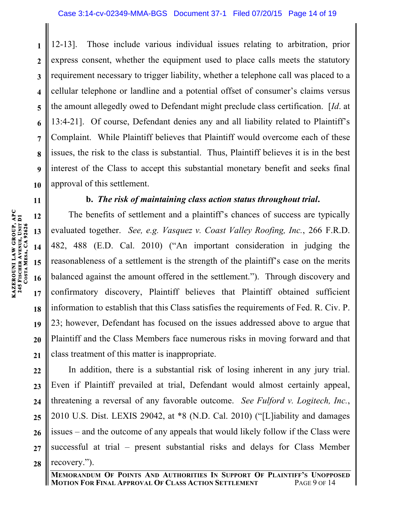**1 2 3 4 5 6 7 8 9 10** 12-13]. Those include various individual issues relating to arbitration, prior express consent, whether the equipment used to place calls meets the statutory requirement necessary to trigger liability, whether a telephone call was placed to a cellular telephone or landline and a potential offset of consumer's claims versus the amount allegedly owed to Defendant might preclude class certification. [*Id*. at 13:4-21]. Of course, Defendant denies any and all liability related to Plaintiff's Complaint. While Plaintiff believes that Plaintiff would overcome each of these issues, the risk to the class is substantial. Thus, Plaintiff believes it is in the best interest of the Class to accept this substantial monetary benefit and seeks final approval of this settlement.

### **b.** *The risk of maintaining class action status throughout trial***.**

The benefits of settlement and a plaintiff's chances of success are typically evaluated together. *See, e.g. Vasquez v. Coast Valley Roofing, Inc.*, 266 F.R.D. 482, 488 (E.D. Cal. 2010) ("An important consideration in judging the reasonableness of a settlement is the strength of the plaintiff's case on the merits balanced against the amount offered in the settlement."). Through discovery and confirmatory discovery, Plaintiff believes that Plaintiff obtained sufficient information to establish that this Class satisfies the requirements of Fed. R. Civ. P. 23; however, Defendant has focused on the issues addressed above to argue that Plaintiff and the Class Members face numerous risks in moving forward and that class treatment of this matter is inappropriate.

**22 23 24 25 26 27 28** In addition, there is a substantial risk of losing inherent in any jury trial. Even if Plaintiff prevailed at trial, Defendant would almost certainly appeal, threatening a reversal of any favorable outcome. *See Fulford v. Logitech, Inc.*, 2010 U.S. Dist. LEXIS 29042, at \*8 (N.D. Cal. 2010) ("[L]iability and damages issues – and the outcome of any appeals that would likely follow if the Class were successful at trial – present substantial risks and delays for Class Member recovery.").

**11**

**12**

**13**

**14**

**15**

**16**

**17**

**18**

**19**

**20**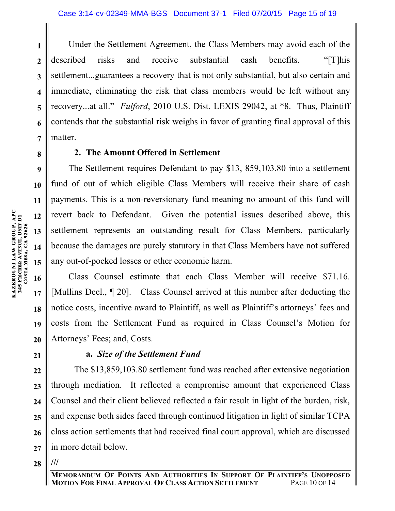**1 3 4 5 6 7** Under the Settlement Agreement, the Class Members may avoid each of the described risks and receive substantial cash benefits. "[T]his settlement...guarantees a recovery that is not only substantial, but also certain and immediate, eliminating the risk that class members would be left without any recovery...at all." *Fulford*, 2010 U.S. Dist. LEXIS 29042, at \*8. Thus, Plaintiff contends that the substantial risk weighs in favor of granting final approval of this matter.

### **2. The Amount Offered in Settlement**

The Settlement requires Defendant to pay \$13, 859,103.80 into a settlement fund of out of which eligible Class Members will receive their share of cash payments. This is a non-reversionary fund meaning no amount of this fund will revert back to Defendant. Given the potential issues described above, this settlement represents an outstanding result for Class Members, particularly because the damages are purely statutory in that Class Members have not suffered any out-of-pocked losses or other economic harm.

Class Counsel estimate that each Class Member will receive \$71.16. [Mullins Decl., ¶ 20]. Class Counsel arrived at this number after deducting the notice costs, incentive award to Plaintiff, as well as Plaintiff's attorneys' fees and costs from the Settlement Fund as required in Class Counsel's Motion for Attorneys' Fees; and, Costs.

### **a.** *Size of the Settlement Fund*

**24 25 26 27** The \$13,859,103.80 settlement fund was reached after extensive negotiation through mediation. It reflected a compromise amount that experienced Class Counsel and their client believed reflected a fair result in light of the burden, risk, and expense both sides faced through continued litigation in light of similar TCPA class action settlements that had received final court approval, which are discussed in more detail below.

**28 ///**

**2**

**8**

**9**

**10**

**11**

**12**

**13**

**14**

**15**

**16**

**17**

**18**

**19**

**20**

**21**

**22**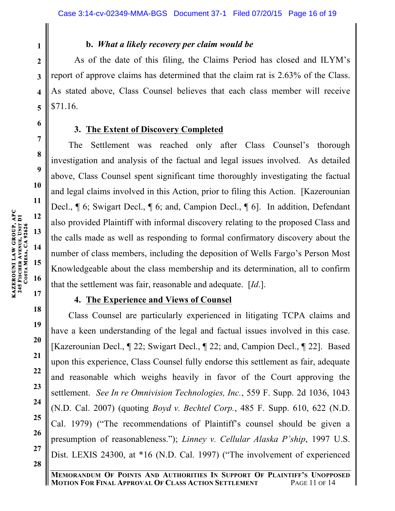**1**

**2**

**3**

**4**

**5**

**6**

**7**

**8**

**9**

**10**

**11**

**12**

**13**

**14**

**15**

**17**

**18**

**19**

**20**

**21**

**22**

**23**

**24**

**25**

**26**

**27**

**28**

### **b.** *What a likely recovery per claim would be*

As of the date of this filing, the Claims Period has closed and ILYM's report of approve claims has determined that the claim rat is 2.63% of the Class. As stated above, Class Counsel believes that each class member will receive \$71.16.

### **3. The Extent of Discovery Completed**

The Settlement was reached only after Class Counsel's thorough investigation and analysis of the factual and legal issues involved. As detailed above, Class Counsel spent significant time thoroughly investigating the factual and legal claims involved in this Action, prior to filing this Action. [Kazerounian Decl., ¶ 6; Swigart Decl., ¶ 6; and, Campion Decl., ¶ 6]. In addition, Defendant also provided Plaintiff with informal discovery relating to the proposed Class and the calls made as well as responding to formal confirmatory discovery about the number of class members, including the deposition of Wells Fargo's Person Most Knowledgeable about the class membership and its determination, all to confirm that the settlement was fair, reasonable and adequate. [*Id*.].

## **4. The Experience and Views of Counsel**

Class Counsel are particularly experienced in litigating TCPA claims and have a keen understanding of the legal and factual issues involved in this case. [Kazerounian Decl., ¶ 22; Swigart Decl., ¶ 22; and, Campion Decl., ¶ 22]. Based upon this experience, Class Counsel fully endorse this settlement as fair, adequate and reasonable which weighs heavily in favor of the Court approving the settlement. *See In re Omnivision Technologies, Inc.*, 559 F. Supp. 2d 1036, 1043 (N.D. Cal. 2007) (quoting *Boyd v. Bechtel Corp.*, 485 F. Supp. 610, 622 (N.D. Cal. 1979) ("The recommendations of Plaintiff's counsel should be given a presumption of reasonableness."); *Linney v. Cellular Alaska P'ship*, 1997 U.S. Dist. LEXIS 24300, at \*16 (N.D. Cal. 1997) ("The involvement of experienced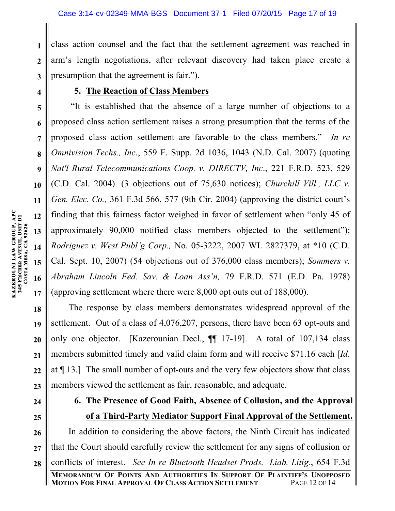class action counsel and the fact that the settlement agreement was reached in arm's length negotiations, after relevant discovery had taken place create a presumption that the agreement is fair.").

**4**

**1**

**2**

**3**

**11**

**12**

**14**

**15**

### **5. The Reaction of Class Members**

**5 6 7 8 9 10 13 16 17** "It is established that the absence of a large number of objections to a proposed class action settlement raises a strong presumption that the terms of the proposed class action settlement are favorable to the class members." *In re Omnivision Techs., Inc*., 559 F. Supp. 2d 1036, 1043 (N.D. Cal. 2007) (quoting *Nat'l Rural Telecommunications Coop. v. DIRECTV, Inc*., 221 F.R.D. 523, 529 (C.D. Cal. 2004). (3 objections out of 75,630 notices); *Churchill Vill., LLC v. Gen. Elec. Co.,* 361 F.3d 566, 577 (9th Cir. 2004) (approving the district court's finding that this fairness factor weighed in favor of settlement when "only 45 of approximately 90,000 notified class members objected to the settlement"); *Rodriguez v. West Publ'g Corp.,* No. 05-3222, 2007 WL 2827379, at \*10 (C.D. Cal. Sept. 10, 2007) (54 objections out of 376,000 class members); *Sommers v. Abraham Lincoln Fed. Sav. & Loan Ass'n,* 79 F.R.D. 571 (E.D. Pa. 1978) (approving settlement where there were 8,000 opt outs out of 188,000).

**18 19 20 21 22 23** The response by class members demonstrates widespread approval of the settlement. Out of a class of 4,076,207, persons, there have been 63 opt-outs and only one objector. [Kazerounian Decl., ¶¶ 17-19]. A total of 107,134 class members submitted timely and valid claim form and will receive \$71.16 each [*Id*. at ¶ 13.] The small number of opt-outs and the very few objectors show that class members viewed the settlement as fair, reasonable, and adequate.

- **24**
- **25**

## **6. The Presence of Good Faith, Absence of Collusion, and the Approval of a Third-Party Mediator Support Final Approval of the Settlement.**

**26 27 28** In addition to considering the above factors, the Ninth Circuit has indicated that the Court should carefully review the settlement for any signs of collusion or conflicts of interest. *See In re Bluetooth Headset Prods. Liab. Litig.*, 654 F.3d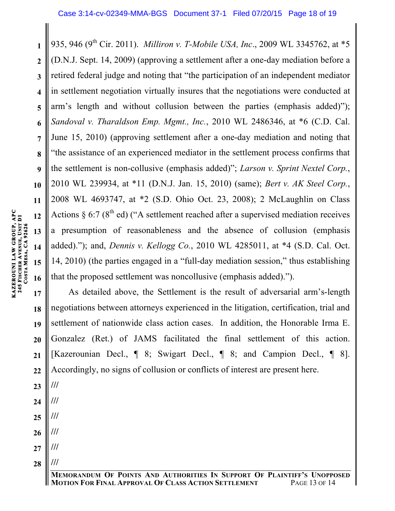**3 4 5 6 7 8 9 10 13 14 15 16** 935, 946 (9<sup>th</sup> Cir. 2011). *Milliron v. T-Mobile USA, Inc.*, 2009 WL 3345762, at \*5 (D.N.J. Sept. 14, 2009) (approving a settlement after a one-day mediation before a retired federal judge and noting that "the participation of an independent mediator in settlement negotiation virtually insures that the negotiations were conducted at arm's length and without collusion between the parties (emphasis added)"); *Sandoval v. Tharaldson Emp. Mgmt., Inc.*, 2010 WL 2486346, at \*6 (C.D. Cal. June 15, 2010) (approving settlement after a one-day mediation and noting that "the assistance of an experienced mediator in the settlement process confirms that the settlement is non-collusive (emphasis added)"; *Larson v. Sprint Nextel Corp.*, 2010 WL 239934, at \*11 (D.N.J. Jan. 15, 2010) (same); *Bert v. AK Steel Corp.*, 2008 WL 4693747, at \*2 (S.D. Ohio Oct. 23, 2008); 2 McLaughlin on Class Actions  $\S 6:7 (8<sup>th</sup> ed)$  ("A settlement reached after a supervised mediation receives a presumption of reasonableness and the absence of collusion (emphasis added)."); and, *Dennis v. Kellogg Co.*, 2010 WL 4285011, at \*4 (S.D. Cal. Oct. 14, 2010) (the parties engaged in a "full-day mediation session," thus establishing that the proposed settlement was noncollusive (emphasis added).").

**17 18 19 20 21 22** As detailed above, the Settlement is the result of adversarial arm's-length negotiations between attorneys experienced in the litigation, certification, trial and settlement of nationwide class action cases. In addition, the Honorable Irma E. Gonzalez (Ret.) of JAMS facilitated the final settlement of this action. [Kazerounian Decl., ¶ 8; Swigart Decl., ¶ 8; and Campion Decl., ¶ 8]. Accordingly, no signs of collusion or conflicts of interest are present here.

- **23 24 /// ///**
- **25 ///**

**///**

**///**

- **26**
- **27**
- **28 ///**

**11**

**12**

**1**